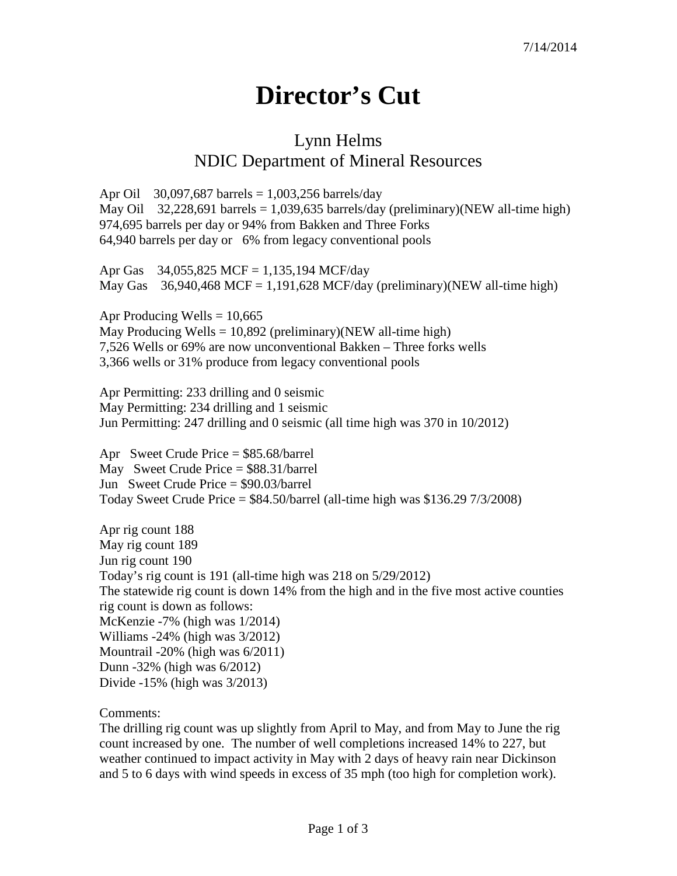## **Director's Cut**

## Lynn Helms NDIC Department of Mineral Resources

Apr Oil 30,097,687 barrels = 1,003,256 barrels/day May Oil 32,228,691 barrels = 1,039,635 barrels/day (preliminary)(NEW all-time high) 974,695 barrels per day or 94% from Bakken and Three Forks 64,940 barrels per day or 6% from legacy conventional pools

Apr Gas 34,055,825 MCF = 1,135,194 MCF/day May Gas  $36,940,468$  MCF = 1,191,628 MCF/day (preliminary)(NEW all-time high)

Apr Producing Wells  $= 10,665$ May Producing Wells =  $10,892$  (preliminary)(NEW all-time high) 7,526 Wells or 69% are now unconventional Bakken – Three forks wells 3,366 wells or 31% produce from legacy conventional pools

Apr Permitting: 233 drilling and 0 seismic May Permitting: 234 drilling and 1 seismic Jun Permitting: 247 drilling and 0 seismic (all time high was 370 in 10/2012)

Apr Sweet Crude Price = \$85.68/barrel May Sweet Crude Price = \$88.31/barrel Jun Sweet Crude Price = \$90.03/barrel Today Sweet Crude Price  $=$  \$84.50/barrel (all-time high was \$136.29 7/3/2008)

Apr rig count 188 May rig count 189 Jun rig count 190 Today's rig count is 191 (all-time high was 218 on 5/29/2012) The statewide rig count is down 14% from the high and in the five most active counties rig count is down as follows: McKenzie -7% (high was 1/2014) Williams -24% (high was 3/2012) Mountrail -20% (high was 6/2011) Dunn -32% (high was 6/2012) Divide -15% (high was 3/2013)

Comments:

The drilling rig count was up slightly from April to May, and from May to June the rig count increased by one. The number of well completions increased 14% to 227, but weather continued to impact activity in May with 2 days of heavy rain near Dickinson and 5 to 6 days with wind speeds in excess of 35 mph (too high for completion work).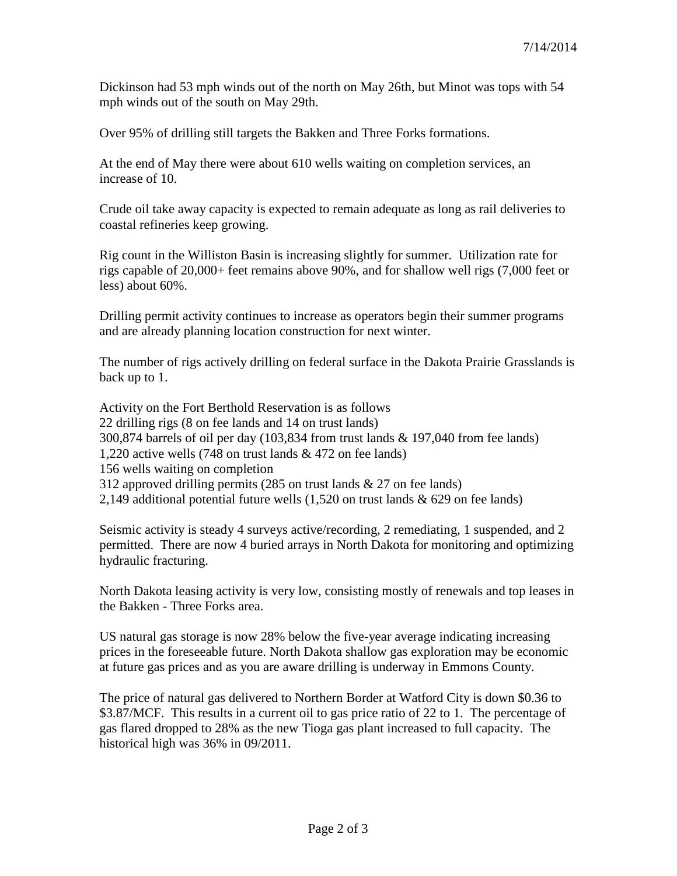Dickinson had 53 mph winds out of the north on May 26th, but Minot was tops with 54 mph winds out of the south on May 29th.

Over 95% of drilling still targets the Bakken and Three Forks formations.

At the end of May there were about 610 wells waiting on completion services, an increase of 10.

Crude oil take away capacity is expected to remain adequate as long as rail deliveries to coastal refineries keep growing.

Rig count in the Williston Basin is increasing slightly for summer. Utilization rate for rigs capable of 20,000+ feet remains above 90%, and for shallow well rigs (7,000 feet or less) about 60%.

Drilling permit activity continues to increase as operators begin their summer programs and are already planning location construction for next winter.

The number of rigs actively drilling on federal surface in the Dakota Prairie Grasslands is back up to 1.

Activity on the Fort Berthold Reservation is as follows 22 drilling rigs (8 on fee lands and 14 on trust lands) 300,874 barrels of oil per day (103,834 from trust lands & 197,040 from fee lands) 1,220 active wells (748 on trust lands & 472 on fee lands) 156 wells waiting on completion 312 approved drilling permits (285 on trust lands & 27 on fee lands) 2,149 additional potential future wells (1,520 on trust lands & 629 on fee lands)

Seismic activity is steady 4 surveys active/recording, 2 remediating, 1 suspended, and 2 permitted. There are now 4 buried arrays in North Dakota for monitoring and optimizing hydraulic fracturing.

North Dakota leasing activity is very low, consisting mostly of renewals and top leases in the Bakken - Three Forks area.

US natural gas storage is now 28% below the five-year average indicating increasing prices in the foreseeable future. North Dakota shallow gas exploration may be economic at future gas prices and as you are aware drilling is underway in Emmons County.

The price of natural gas delivered to Northern Border at Watford City is down \$0.36 to \$3.87/MCF. This results in a current oil to gas price ratio of 22 to 1. The percentage of gas flared dropped to 28% as the new Tioga gas plant increased to full capacity. The historical high was 36% in 09/2011.